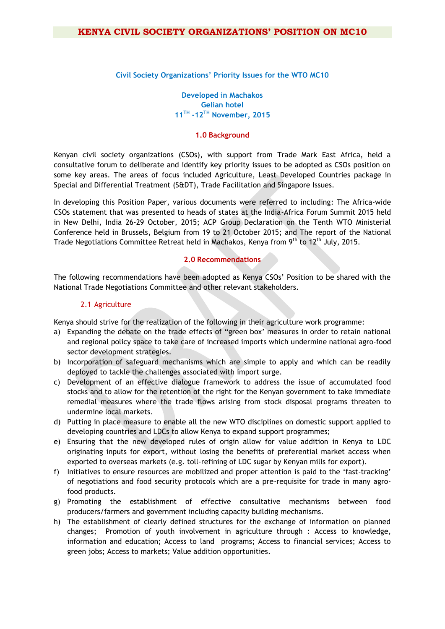#### **Civil Society Organizations' Priority Issues for the WTO MC10**

**Developed in Machakos Gelian hotel 11TH -12TH November, 2015** 

## **1.0 Background**

Kenyan civil society organizations (CSOs), with support from Trade Mark East Africa, held a consultative forum to deliberate and identify key priority issues to be adopted as CSOs position on some key areas. The areas of focus included Agriculture, Least Developed Countries package in Special and Differential Treatment (S&DT), Trade Facilitation and Singapore Issues.

In developing this Position Paper, various documents were referred to including: The Africa-wide CSOs statement that was presented to heads of states at the India-Africa Forum Summit 2015 held in New Delhi, India 26-29 October, 2015; ACP Group Declaration on the Tenth WTO Ministerial Conference held in Brussels, Belgium from 19 to 21 October 2015; and The report of the National Trade Negotiations Committee Retreat held in Machakos, Kenya from 9<sup>th</sup> to 12<sup>th</sup> July, 2015.

## **2.0 Recommendations**

The following recommendations have been adopted as Kenya CSOs' Position to be shared with the National Trade Negotiations Committee and other relevant stakeholders.

#### 2.1 Agriculture

Kenya should strive for the realization of the following in their agriculture work programme:

- a) Expanding the debate on the trade effects of "green box' measures in order to retain national and regional policy space to take care of increased imports which undermine national agro-food sector development strategies.
- b) Incorporation of safeguard mechanisms which are simple to apply and which can be readily deployed to tackle the challenges associated with import surge.
- c) Development of an effective dialogue framework to address the issue of accumulated food stocks and to allow for the retention of the right for the Kenyan government to take immediate remedial measures where the trade flows arising from stock disposal programs threaten to undermine local markets.
- d) Putting in place measure to enable all the new WTO disciplines on domestic support applied to developing countries and LDCs to allow Kenya to expand support programmes;
- e) Ensuring that the new developed rules of origin allow for value addition in Kenya to LDC originating inputs for export, without losing the benefits of preferential market access when exported to overseas markets (e.g. toll-refining of LDC sugar by Kenyan mills for export).
- f) Initiatives to ensure resources are mobilized and proper attention is paid to the 'fast-tracking' of negotiations and food security protocols which are a pre-requisite for trade in many agrofood products.
- g) Promoting the establishment of effective consultative mechanisms between food producers/farmers and government including capacity building mechanisms.
- h) The establishment of clearly defined structures for the exchange of information on planned changes; Promotion of youth involvement in agriculture through : Access to knowledge, information and education; Access to land programs; Access to financial services; Access to green jobs; Access to markets; Value addition opportunities.